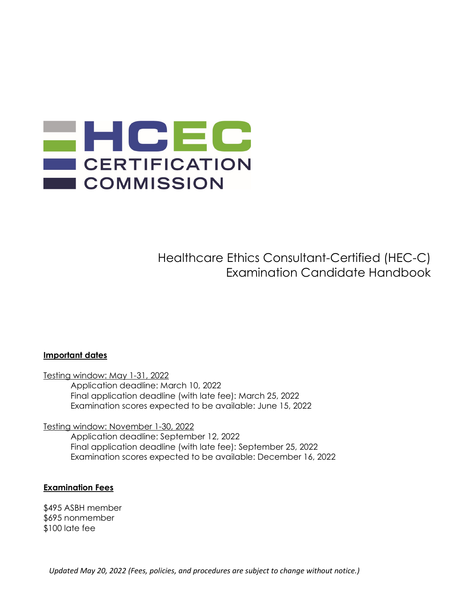

Healthcare Ethics Consultant-Certified (HEC-C) Examination Candidate Handbook

#### Important dates

Testing window: May 1-31, 2022

 Application deadline: March 10, 2022 Final application deadline (with late fee): March 25, 2022 Examination scores expected to be available: June 15, 2022

Testing window: November 1-30, 2022

 Application deadline: September 12, 2022 Final application deadline (with late fee): September 25, 2022 Examination scores expected to be available: December 16, 2022

#### Examination Fees

\$495 ASBH member \$695 nonmember \$100 late fee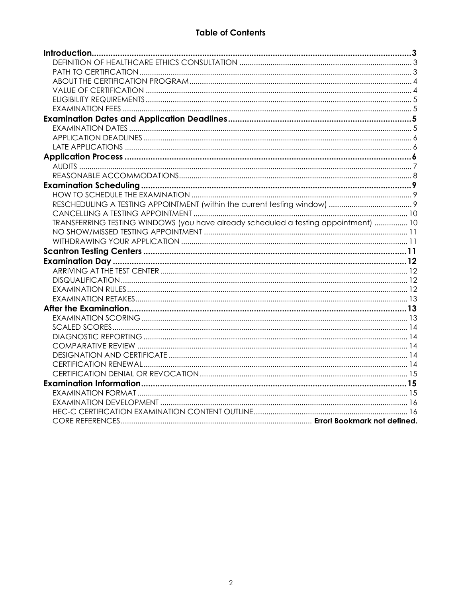# **Table of Contents**

| TRANSFERRING TESTING WINDOWS (you have already scheduled a testing appointment)  10 |  |
|-------------------------------------------------------------------------------------|--|
|                                                                                     |  |
|                                                                                     |  |
|                                                                                     |  |
|                                                                                     |  |
|                                                                                     |  |
|                                                                                     |  |
|                                                                                     |  |
|                                                                                     |  |
|                                                                                     |  |
|                                                                                     |  |
|                                                                                     |  |
|                                                                                     |  |
|                                                                                     |  |
|                                                                                     |  |
|                                                                                     |  |
|                                                                                     |  |
|                                                                                     |  |
|                                                                                     |  |
|                                                                                     |  |
|                                                                                     |  |
|                                                                                     |  |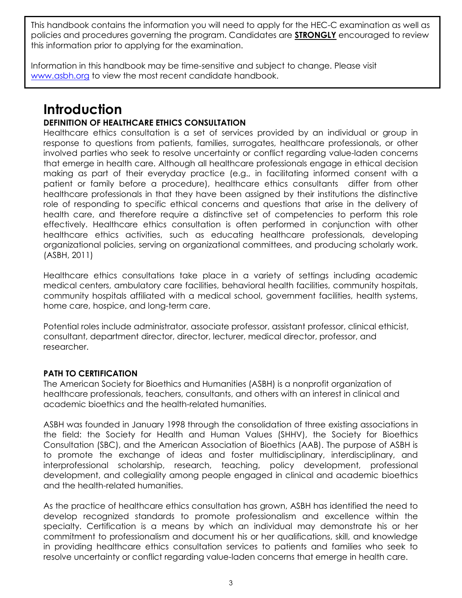This handbook contains the information you will need to apply for the HEC-C examination as well as policies and procedures governing the program. Candidates are **STRONGLY** encouraged to review this information prior to applying for the examination.

Information in this handbook may be time-sensitive and subject to change. Please visit www.asbh.org to view the most recent candidate handbook.

# **Introduction**

# DEFINITION OF HEALTHCARE ETHICS CONSULTATION

Healthcare ethics consultation is a set of services provided by an individual or group in response to questions from patients, families, surrogates, healthcare professionals, or other involved parties who seek to resolve uncertainty or conflict regarding value-laden concerns that emerge in health care. Although all healthcare professionals engage in ethical decision making as part of their everyday practice (e.g., in facilitating informed consent with a patient or family before a procedure), healthcare ethics consultants differ from other healthcare professionals in that they have been assigned by their institutions the distinctive role of responding to specific ethical concerns and questions that arise in the delivery of health care, and therefore require a distinctive set of competencies to perform this role effectively. Healthcare ethics consultation is often performed in conjunction with other healthcare ethics activities, such as educating healthcare professionals, developing organizational policies, serving on organizational committees, and producing scholarly work. (ASBH, 2011)

Healthcare ethics consultations take place in a variety of settings including academic medical centers, ambulatory care facilities, behavioral health facilities, community hospitals, community hospitals affiliated with a medical school, government facilities, health systems, home care, hospice, and long-term care.

Potential roles include administrator, associate professor, assistant professor, clinical ethicist, consultant, department director, director, lecturer, medical director, professor, and researcher.

# PATH TO CERTIFICATION

The American Society for Bioethics and Humanities (ASBH) is a nonprofit organization of healthcare professionals, teachers, consultants, and others with an interest in clinical and academic bioethics and the health-related humanities.

ASBH was founded in January 1998 through the consolidation of three existing associations in the field: the Society for Health and Human Values (SHHV), the Society for Bioethics Consultation (SBC), and the American Association of Bioethics (AAB). The purpose of ASBH is to promote the exchange of ideas and foster multidisciplinary, interdisciplinary, and interprofessional scholarship, research, teaching, policy development, professional development, and collegiality among people engaged in clinical and academic bioethics and the health-related humanities.

As the practice of healthcare ethics consultation has grown, ASBH has identified the need to develop recognized standards to promote professionalism and excellence within the specialty. Certification is a means by which an individual may demonstrate his or her commitment to professionalism and document his or her qualifications, skill, and knowledge in providing healthcare ethics consultation services to patients and families who seek to resolve uncertainty or conflict regarding value-laden concerns that emerge in health care.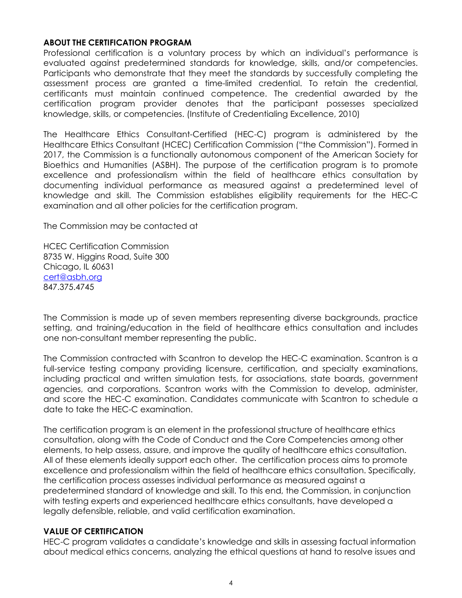#### ABOUT THE CERTIFICATION PROGRAM

Professional certification is a voluntary process by which an individual's performance is evaluated against predetermined standards for knowledge, skills, and/or competencies. Participants who demonstrate that they meet the standards by successfully completing the assessment process are granted a time-limited credential. To retain the credential, certificants must maintain continued competence. The credential awarded by the certification program provider denotes that the participant possesses specialized knowledge, skills, or competencies. (Institute of Credentialing Excellence, 2010)

The Healthcare Ethics Consultant-Certified (HEC-C) program is administered by the Healthcare Ethics Consultant (HCEC) Certification Commission ("the Commission"). Formed in 2017, the Commission is a functionally autonomous component of the American Society for Bioethics and Humanities (ASBH). The purpose of the certification program is to promote excellence and professionalism within the field of healthcare ethics consultation by documenting individual performance as measured against a predetermined level of knowledge and skill. The Commission establishes eligibility requirements for the HEC-C examination and all other policies for the certification program.

The Commission may be contacted at

HCEC Certification Commission 8735 W. Higgins Road, Suite 300 Chicago, IL 60631 cert@asbh.org 847.375.4745

The Commission is made up of seven members representing diverse backgrounds, practice setting, and training/education in the field of healthcare ethics consultation and includes one non-consultant member representing the public.

The Commission contracted with Scantron to develop the HEC-C examination. Scantron is a full-service testing company providing licensure, certification, and specialty examinations, including practical and written simulation tests, for associations, state boards, government agencies, and corporations. Scantron works with the Commission to develop, administer, and score the HEC-C examination. Candidates communicate with Scantron to schedule a date to take the HEC-C examination.

The certification program is an element in the professional structure of healthcare ethics consultation, along with the Code of Conduct and the Core Competencies among other elements, to help assess, assure, and improve the quality of healthcare ethics consultation. All of these elements ideally support each other. The certification process aims to promote excellence and professionalism within the field of healthcare ethics consultation. Specifically, the certification process assesses individual performance as measured against a predetermined standard of knowledge and skill. To this end, the Commission, in conjunction with testing experts and experienced healthcare ethics consultants, have developed a legally defensible, reliable, and valid certification examination.

#### VALUE OF CERTIFICATION

HEC-C program validates a candidate's knowledge and skills in assessing factual information about medical ethics concerns, analyzing the ethical questions at hand to resolve issues and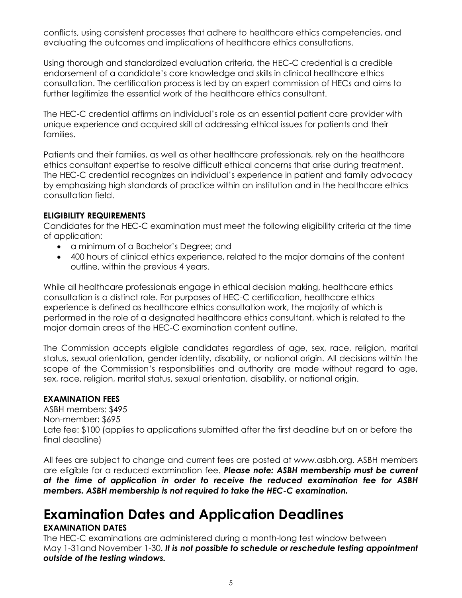conflicts, using consistent processes that adhere to healthcare ethics competencies, and evaluating the outcomes and implications of healthcare ethics consultations.

Using thorough and standardized evaluation criteria, the HEC-C credential is a credible endorsement of a candidate's core knowledge and skills in clinical healthcare ethics consultation. The certification process is led by an expert commission of HECs and aims to further legitimize the essential work of the healthcare ethics consultant.

The HEC-C credential affirms an individual's role as an essential patient care provider with unique experience and acquired skill at addressing ethical issues for patients and their families.

Patients and their families, as well as other healthcare professionals, rely on the healthcare ethics consultant expertise to resolve difficult ethical concerns that arise during treatment. The HEC-C credential recognizes an individual's experience in patient and family advocacy by emphasizing high standards of practice within an institution and in the healthcare ethics consultation field.

# ELIGIBILITY REQUIREMENTS

Candidates for the HEC-C examination must meet the following eligibility criteria at the time of application:

- a minimum of a Bachelor's Degree; and
- 400 hours of clinical ethics experience, related to the major domains of the content outline, within the previous 4 years.

While all healthcare professionals engage in ethical decision making, healthcare ethics consultation is a distinct role. For purposes of HEC-C certification, healthcare ethics experience is defined as healthcare ethics consultation work, the majority of which is performed in the role of a designated healthcare ethics consultant, which is related to the major domain areas of the HEC-C examination content outline.

The Commission accepts eligible candidates regardless of age, sex, race, religion, marital status, sexual orientation, gender identity, disability, or national origin. All decisions within the scope of the Commission's responsibilities and authority are made without regard to age, sex, race, religion, marital status, sexual orientation, disability, or national origin.

# EXAMINATION FEES

ASBH members: \$495 Non-member: \$695 Late fee: \$100 (applies to applications submitted after the first deadline but on or before the final deadline)

All fees are subject to change and current fees are posted at www.asbh.org. ASBH members are eligible for a reduced examination fee. Please note: ASBH membership must be current at the time of application in order to receive the reduced examination fee for ASBH members. ASBH membership is not required to take the HEC-C examination.

# Examination Dates and Application Deadlines

# EXAMINATION DATES

The HEC-C examinations are administered during a month-long test window between May 1-31and November 1-30. It is not possible to schedule or reschedule testing appointment outside of the testing windows.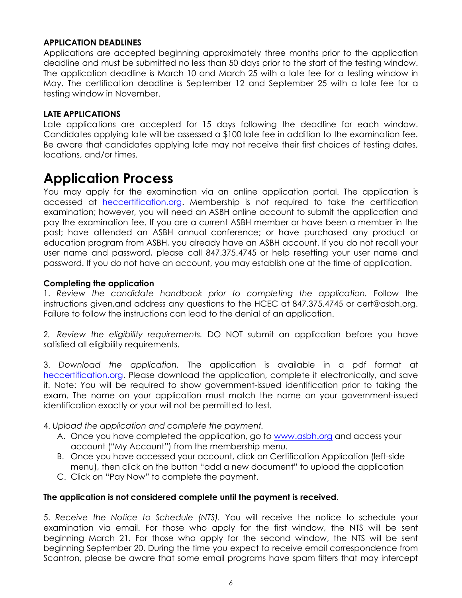#### APPLICATION DEADLINES

Applications are accepted beginning approximately three months prior to the application deadline and must be submitted no less than 50 days prior to the start of the testing window. The application deadline is March 10 and March 25 with a late fee for a testing window in May. The certification deadline is September 12 and September 25 with a late fee for a testing window in November.

#### LATE APPLICATIONS

Late applications are accepted for 15 days following the deadline for each window. Candidates applying late will be assessed a \$100 late fee in addition to the examination fee. Be aware that candidates applying late may not receive their first choices of testing dates, locations, and/or times.

# Application Process

You may apply for the examination via an online application portal. The application is accessed at heccertification.org. Membership is not required to take the certification examination; however, you will need an ASBH online account to submit the application and pay the examination fee. If you are a current ASBH member or have been a member in the past; have attended an ASBH annual conference; or have purchased any product or education program from ASBH, you already have an ASBH account. If you do not recall your user name and password, please call 847.375.4745 or help resetting your user name and password. If you do not have an account, you may establish one at the time of application.

#### Completing the application

1. Review the candidate handbook prior to completing the application. Follow the instructions given,and address any questions to the HCEC at 847.375.4745 or cert@asbh.org. Failure to follow the instructions can lead to the denial of an application.

2. Review the eligibility requirements. DO NOT submit an application before you have satisfied all eligibility requirements.

3. Download the application. The application is available in a pdf format at heccertification.org. Please download the application, complete it electronically, and save it. Note: You will be required to show government-issued identification prior to taking the exam. The name on your application must match the name on your government-issued identification exactly or your will not be permitted to test.

- 4. Upload the application and complete the payment.
	- A. Once you have completed the application, go to www.asbh.org and access your account ("My Account") from the membership menu.
	- B. Once you have accessed your account, click on Certification Application (left-side menu), then click on the button "add a new document" to upload the application
	- C. Click on "Pay Now" to complete the payment.

#### The application is not considered complete until the payment is received.

5. Receive the Notice to Schedule (NTS). You will receive the notice to schedule your examination via email. For those who apply for the first window, the NTS will be sent beginning March 21. For those who apply for the second window, the NTS will be sent beginning September 20. During the time you expect to receive email correspondence from Scantron, please be aware that some email programs have spam filters that may intercept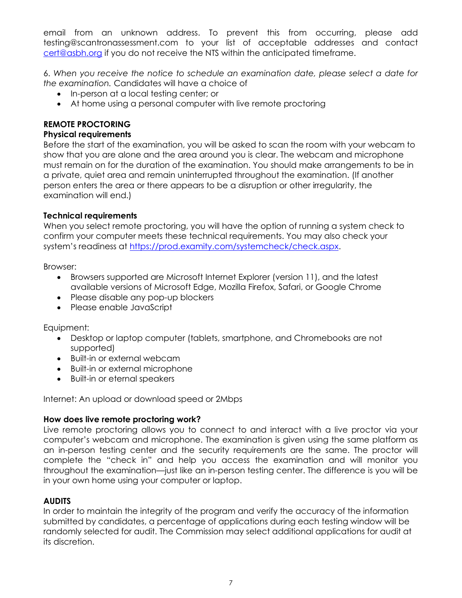email from an unknown address. To prevent this from occurring, please add testing@scantronassessment.com to your list of acceptable addresses and contact cert@asbh.org if you do not receive the NTS within the anticipated timeframe.

6. When you receive the notice to schedule an examination date, please select a date for the examination. Candidates will have a choice of

- In-person at a local testing center; or
- At home using a personal computer with live remote proctoring

# REMOTE PROCTORING

#### Physical requirements

Before the start of the examination, you will be asked to scan the room with your webcam to show that you are alone and the area around you is clear. The webcam and microphone must remain on for the duration of the examination. You should make arrangements to be in a private, quiet area and remain uninterrupted throughout the examination. (If another person enters the area or there appears to be a disruption or other irregularity, the examination will end.)

#### Technical requirements

When you select remote proctoring, you will have the option of running a system check to confirm your computer meets these technical requirements. You may also check your system's readiness at https://prod.examity.com/systemcheck/check.aspx.

Browser:

- Browsers supported are Microsoft Internet Explorer (version 11), and the latest available versions of Microsoft Edge, Mozilla Firefox, Safari, or Google Chrome
- Please disable any pop-up blockers
- Please enable JavaScript

Equipment:

- Desktop or laptop computer (tablets, smartphone, and Chromebooks are not supported)
- Built-in or external webcam
- Built-in or external microphone
- Built-in or eternal speakers

Internet: An upload or download speed or 2Mbps

#### How does live remote proctoring work?

Live remote proctoring allows you to connect to and interact with a live proctor via your computer's webcam and microphone. The examination is given using the same platform as an in-person testing center and the security requirements are the same. The proctor will complete the "check in" and help you access the examination and will monitor you throughout the examination—just like an in-person testing center. The difference is you will be in your own home using your computer or laptop.

#### **AUDITS**

In order to maintain the integrity of the program and verify the accuracy of the information submitted by candidates, a percentage of applications during each testing window will be randomly selected for audit. The Commission may select additional applications for audit at its discretion.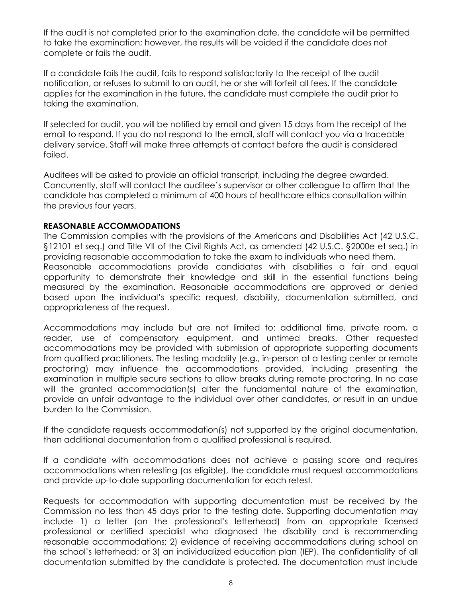If the audit is not completed prior to the examination date, the candidate will be permitted to take the examination; however, the results will be voided if the candidate does not complete or fails the audit.

If a candidate fails the audit, fails to respond satisfactorily to the receipt of the audit notification, or refuses to submit to an audit, he or she will forfeit all fees. If the candidate applies for the examination in the future, the candidate must complete the audit prior to taking the examination.

If selected for audit, you will be notified by email and given 15 days from the receipt of the email to respond. If you do not respond to the email, staff will contact you via a traceable delivery service. Staff will make three attempts at contact before the audit is considered failed.

Auditees will be asked to provide an official transcript, including the degree awarded. Concurrently, staff will contact the auditee's supervisor or other colleague to affirm that the candidate has completed a minimum of 400 hours of healthcare ethics consultation within the previous four years.

#### REASONABLE ACCOMMODATIONS

The Commission complies with the provisions of the Americans and Disabilities Act (42 U.S.C. §12101 et seq.) and Title VII of the Civil Rights Act, as amended (42 U.S.C. §2000e et seq.) in providing reasonable accommodation to take the exam to individuals who need them. Reasonable accommodations provide candidates with disabilities a fair and equal opportunity to demonstrate their knowledge and skill in the essential functions being measured by the examination. Reasonable accommodations are approved or denied based upon the individual's specific request, disability, documentation submitted, and appropriateness of the request.

Accommodations may include but are not limited to: additional time, private room, a reader, use of compensatory equipment, and untimed breaks. Other requested accommodations may be provided with submission of appropriate supporting documents from qualified practitioners. The testing modality (e.g., in-person at a testing center or remote proctoring) may influence the accommodations provided, including presenting the examination in multiple secure sections to allow breaks during remote proctoring. In no case will the granted accommodation(s) alter the fundamental nature of the examination, provide an unfair advantage to the individual over other candidates, or result in an undue burden to the Commission.

If the candidate requests accommodation(s) not supported by the original documentation, then additional documentation from a qualified professional is required.

If a candidate with accommodations does not achieve a passing score and requires accommodations when retesting (as eligible), the candidate must request accommodations and provide up-to-date supporting documentation for each retest.

Requests for accommodation with supporting documentation must be received by the Commission no less than 45 days prior to the testing date. Supporting documentation may include 1) a letter (on the professional's letterhead) from an appropriate licensed professional or certified specialist who diagnosed the disability and is recommending reasonable accommodations; 2) evidence of receiving accommodations during school on the school's letterhead; or 3) an individualized education plan (IEP). The confidentiality of all documentation submitted by the candidate is protected. The documentation must include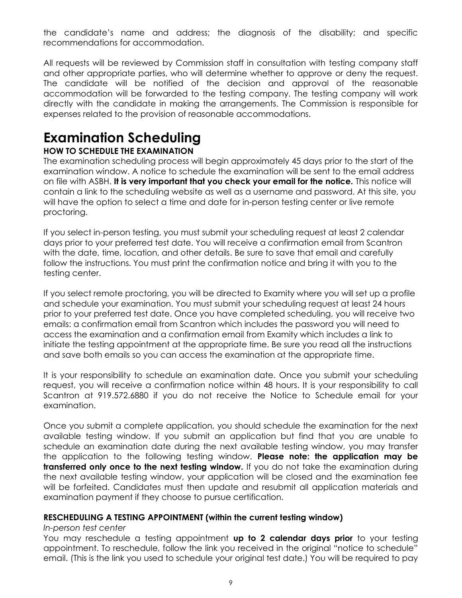the candidate's name and address; the diagnosis of the disability; and specific recommendations for accommodation.

All requests will be reviewed by Commission staff in consultation with testing company staff and other appropriate parties, who will determine whether to approve or deny the request. The candidate will be notified of the decision and approval of the reasonable accommodation will be forwarded to the testing company. The testing company will work directly with the candidate in making the arrangements. The Commission is responsible for expenses related to the provision of reasonable accommodations.

# Examination Scheduling

# HOW TO SCHEDULE THE EXAMINATION

The examination scheduling process will begin approximately 45 days prior to the start of the examination window. A notice to schedule the examination will be sent to the email address on file with ASBH. It is very important that you check your email for the notice. This notice will contain a link to the scheduling website as well as a username and password. At this site, you will have the option to select a time and date for in-person testing center or live remote proctoring.

If you select in-person testing, you must submit your scheduling request at least 2 calendar days prior to your preferred test date. You will receive a confirmation email from Scantron with the date, time, location, and other details. Be sure to save that email and carefully follow the instructions. You must print the confirmation notice and bring it with you to the testing center.

If you select remote proctoring, you will be directed to Examity where you will set up a profile and schedule your examination. You must submit your scheduling request at least 24 hours prior to your preferred test date. Once you have completed scheduling, you will receive two emails: a confirmation email from Scantron which includes the password you will need to access the examination and a confirmation email from Examity which includes a link to initiate the testing appointment at the appropriate time. Be sure you read all the instructions and save both emails so you can access the examination at the appropriate time.

It is your responsibility to schedule an examination date. Once you submit your scheduling request, you will receive a confirmation notice within 48 hours. It is your responsibility to call Scantron at 919.572.6880 if you do not receive the Notice to Schedule email for your examination.

Once you submit a complete application, you should schedule the examination for the next available testing window. If you submit an application but find that you are unable to schedule an examination date during the next available testing window, you may transfer the application to the following testing window. **Please note: the application may be** transferred only once to the next testing window. If you do not take the examination during the next available testing window, your application will be closed and the examination fee will be forfeited. Candidates must then update and resubmit all application materials and examination payment if they choose to pursue certification.

# RESCHEDULING A TESTING APPOINTMENT (within the current testing window)

# In-person test center

You may reschedule a testing appointment up to 2 calendar days prior to your testing appointment. To reschedule, follow the link you received in the original "notice to schedule" email. (This is the link you used to schedule your original test date.) You will be required to pay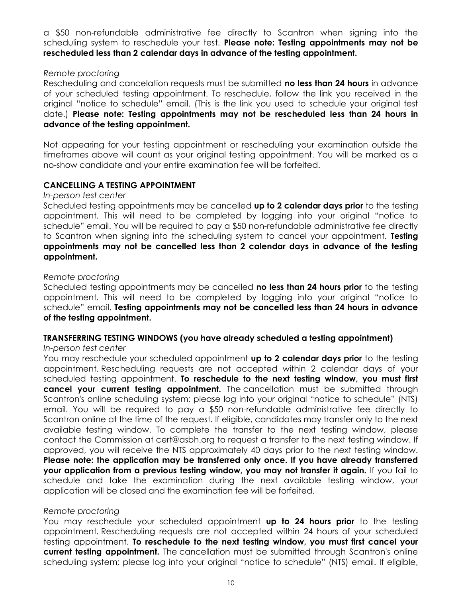a \$50 non-refundable administrative fee directly to Scantron when signing into the scheduling system to reschedule your test. Please note: Testing appointments may not be rescheduled less than 2 calendar days in advance of the testing appointment.

#### Remote proctoring

Rescheduling and cancelation requests must be submitted **no less than 24 hours** in advance of your scheduled testing appointment. To reschedule, follow the link you received in the original "notice to schedule" email. (This is the link you used to schedule your original test date.) Please note: Testing appointments may not be rescheduled less than 24 hours in advance of the testing appointment.

Not appearing for your testing appointment or rescheduling your examination outside the timeframes above will count as your original testing appointment. You will be marked as a no-show candidate and your entire examination fee will be forfeited.

# CANCELLING A TESTING APPOINTMENT

#### In-person test center

Scheduled testing appointments may be cancelled up to 2 calendar days prior to the testing appointment. This will need to be completed by logging into your original "notice to schedule" email. You will be required to pay a \$50 non-refundable administrative fee directly to Scantron when signing into the scheduling system to cancel your appointment. Testing appointments may not be cancelled less than 2 calendar days in advance of the testing appointment.

#### Remote proctoring

Scheduled testing appointments may be cancelled no less than 24 hours prior to the testing appointment. This will need to be completed by logging into your original "notice to schedule" email. Testing appointments may not be cancelled less than 24 hours in advance of the testing appointment.

#### TRANSFERRING TESTING WINDOWS (you have already scheduled a testing appointment)

#### In-person test center

You may reschedule your scheduled appointment up to 2 calendar days prior to the testing appointment. Rescheduling requests are not accepted within 2 calendar days of your scheduled testing appointment. To reschedule to the next testing window, you must first cancel your current testing appointment. The cancellation must be submitted through Scantron's online scheduling system; please log into your original "notice to schedule" (NTS) email. You will be required to pay a \$50 non-refundable administrative fee directly to Scantron online at the time of the request. If eligible, candidates may transfer only to the next available testing window. To complete the transfer to the next testing window, please contact the Commission at cert@asbh.org to request a transfer to the next testing window. If approved, you will receive the NTS approximately 40 days prior to the next testing window. Please note: the application may be transferred only once. If you have already transferred your application from a previous testing window, you may not transfer it again. If you fail to schedule and take the examination during the next available testing window, your application will be closed and the examination fee will be forfeited.

#### Remote proctoring

You may reschedule your scheduled appointment up to 24 hours prior to the testing appointment. Rescheduling requests are not accepted within 24 hours of your scheduled testing appointment. To reschedule to the next testing window, you must first cancel your **current testing appointment.** The cancellation must be submitted through Scantron's online scheduling system; please log into your original "notice to schedule" (NTS) email. If eligible,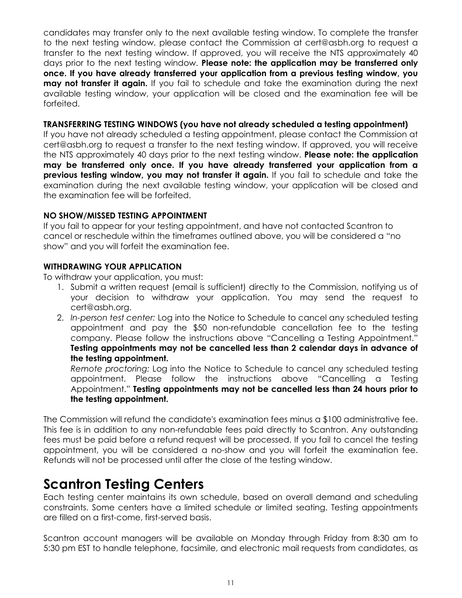candidates may transfer only to the next available testing window. To complete the transfer to the next testing window, please contact the Commission at cert@asbh.org to request a transfer to the next testing window. If approved, you will receive the NTS approximately 40 days prior to the next testing window. Please note: the application may be transferred only once. If you have already transferred your application from a previous testing window, you **may not transfer it again.** If you fail to schedule and take the examination during the next available testing window, your application will be closed and the examination fee will be forfeited.

#### TRANSFERRING TESTING WINDOWS (you have not already scheduled a testing appointment)

If you have not already scheduled a testing appointment, please contact the Commission at cert@asbh.org to request a transfer to the next testing window. If approved, you will receive the NTS approximately 40 days prior to the next testing window. **Please note: the application** may be transferred only once. If you have already transferred your application from a previous testing window, you may not transfer it again. If you fail to schedule and take the examination during the next available testing window, your application will be closed and the examination fee will be forfeited.

#### NO SHOW/MISSED TESTING APPOINTMENT

If you fail to appear for your testing appointment, and have not contacted Scantron to cancel or reschedule within the timeframes outlined above, you will be considered a "no show" and you will forfeit the examination fee.

#### WITHDRAWING YOUR APPLICATION

To withdraw your application, you must:

- 1. Submit a written request (email is sufficient) directly to the Commission, notifying us of your decision to withdraw your application. You may send the request to cert@asbh.org.
- 2. In-person test center: Log into the Notice to Schedule to cancel any scheduled testing appointment and pay the \$50 non-refundable cancellation fee to the testing company. Please follow the instructions above "Cancelling a Testing Appointment." Testing appointments may not be cancelled less than 2 calendar days in advance of the testing appointment.

Remote proctoring: Log into the Notice to Schedule to cancel any scheduled testing appointment. Please follow the instructions above "Cancelling a Testing Appointment." Testing appointments may not be cancelled less than 24 hours prior to the testing appointment.

The Commission will refund the candidate's examination fees minus a \$100 administrative fee. This fee is in addition to any non-refundable fees paid directly to Scantron. Any outstanding fees must be paid before a refund request will be processed. If you fail to cancel the testing appointment, you will be considered a no-show and you will forfeit the examination fee. Refunds will not be processed until after the close of the testing window.

# Scantron Testing Centers

Each testing center maintains its own schedule, based on overall demand and scheduling constraints. Some centers have a limited schedule or limited seating. Testing appointments are filled on a first-come, first-served basis.

Scantron account managers will be available on Monday through Friday from 8:30 am to 5:30 pm EST to handle telephone, facsimile, and electronic mail requests from candidates, as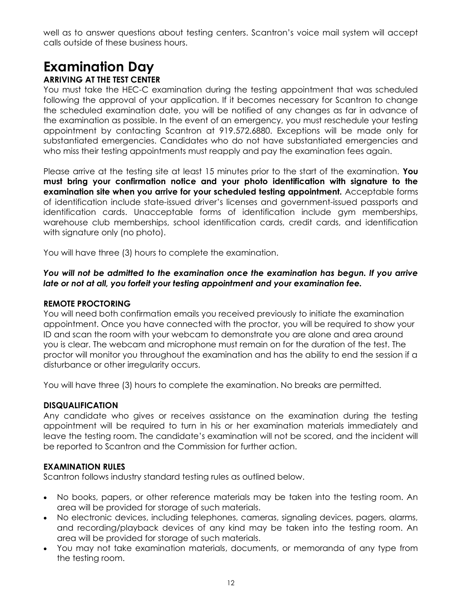well as to answer questions about testing centers. Scantron's voice mail system will accept calls outside of these business hours.

# Examination Day

# ARRIVING AT THE TEST CENTER

You must take the HEC-C examination during the testing appointment that was scheduled following the approval of your application. If it becomes necessary for Scantron to change the scheduled examination date, you will be notified of any changes as far in advance of the examination as possible. In the event of an emergency, you must reschedule your testing appointment by contacting Scantron at 919.572.6880. Exceptions will be made only for substantiated emergencies. Candidates who do not have substantiated emergencies and who miss their testing appointments must reapply and pay the examination fees again.

Please arrive at the testing site at least 15 minutes prior to the start of the examination. You must bring your confirmation notice and your photo identification with signature to the examination site when you arrive for your scheduled testing appointment. Acceptable forms of identification include state-issued driver's licenses and government-issued passports and identification cards. Unacceptable forms of identification include gym memberships, warehouse club memberships, school identification cards, credit cards, and identification with signature only (no photo).

You will have three (3) hours to complete the examination.

You will not be admitted to the examination once the examination has begun. If you arrive late or not at all, you forfeit your testing appointment and your examination fee.

# REMOTE PROCTORING

You will need both confirmation emails you received previously to initiate the examination appointment. Once you have connected with the proctor, you will be required to show your ID and scan the room with your webcam to demonstrate you are alone and area around you is clear. The webcam and microphone must remain on for the duration of the test. The proctor will monitor you throughout the examination and has the ability to end the session if a disturbance or other irregularity occurs.

You will have three (3) hours to complete the examination. No breaks are permitted.

# DISQUALIFICATION

Any candidate who gives or receives assistance on the examination during the testing appointment will be required to turn in his or her examination materials immediately and leave the testing room. The candidate's examination will not be scored, and the incident will be reported to Scantron and the Commission for further action.

# EXAMINATION RULES

Scantron follows industry standard testing rules as outlined below.

- No books, papers, or other reference materials may be taken into the testing room. An area will be provided for storage of such materials.
- No electronic devices, including telephones, cameras, signaling devices, pagers, alarms, and recording/playback devices of any kind may be taken into the testing room. An area will be provided for storage of such materials.
- You may not take examination materials, documents, or memoranda of any type from the testing room.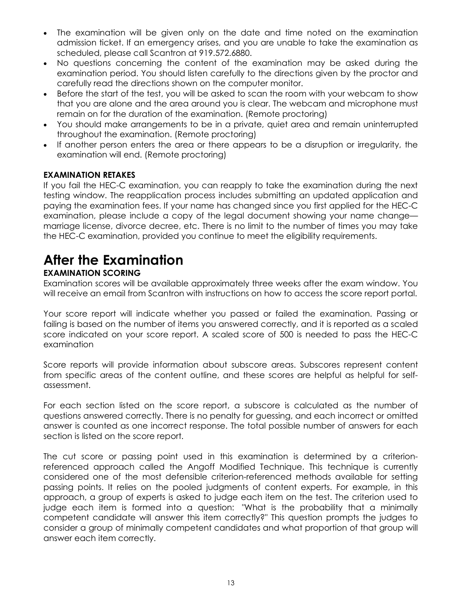- The examination will be given only on the date and time noted on the examination admission ticket. If an emergency arises, and you are unable to take the examination as scheduled, please call Scantron at 919.572.6880.
- No questions concerning the content of the examination may be asked during the examination period. You should listen carefully to the directions given by the proctor and carefully read the directions shown on the computer monitor.
- Before the start of the test, you will be asked to scan the room with your webcam to show that you are alone and the area around you is clear. The webcam and microphone must remain on for the duration of the examination. (Remote proctoring)
- You should make arrangements to be in a private, quiet area and remain uninterrupted throughout the examination. (Remote proctoring)
- If another person enters the area or there appears to be a disruption or irregularity, the examination will end. (Remote proctoring)

# EXAMINATION RETAKES

If you fail the HEC-C examination, you can reapply to take the examination during the next testing window. The reapplication process includes submitting an updated application and paying the examination fees. If your name has changed since you first applied for the HEC-C examination, please include a copy of the legal document showing your name change marriage license, divorce decree, etc. There is no limit to the number of times you may take the HEC-C examination, provided you continue to meet the eligibility requirements.

# After the Examination

# EXAMINATION SCORING

Examination scores will be available approximately three weeks after the exam window. You will receive an email from Scantron with instructions on how to access the score report portal.

Your score report will indicate whether you passed or failed the examination. Passing or failing is based on the number of items you answered correctly, and it is reported as a scaled score indicated on your score report. A scaled score of 500 is needed to pass the HEC-C examination

Score reports will provide information about subscore areas. Subscores represent content from specific areas of the content outline, and these scores are helpful as helpful for selfassessment.

For each section listed on the score report, a subscore is calculated as the number of questions answered correctly. There is no penalty for guessing, and each incorrect or omitted answer is counted as one incorrect response. The total possible number of answers for each section is listed on the score report.

The cut score or passing point used in this examination is determined by a criterionreferenced approach called the Angoff Modified Technique. This technique is currently considered one of the most defensible criterion-referenced methods available for setting passing points. It relies on the pooled judgments of content experts. For example, in this approach, a group of experts is asked to judge each item on the test. The criterion used to judge each item is formed into a question: "What is the probability that a minimally competent candidate will answer this item correctly?" This question prompts the judges to consider a group of minimally competent candidates and what proportion of that group will answer each item correctly.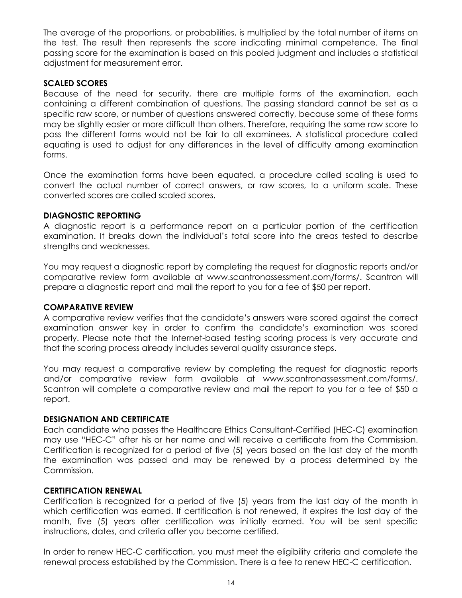The average of the proportions, or probabilities, is multiplied by the total number of items on the test. The result then represents the score indicating minimal competence. The final passing score for the examination is based on this pooled judgment and includes a statistical adjustment for measurement error.

#### SCALED SCORES

Because of the need for security, there are multiple forms of the examination, each containing a different combination of questions. The passing standard cannot be set as a specific raw score, or number of questions answered correctly, because some of these forms may be slightly easier or more difficult than others. Therefore, requiring the same raw score to pass the different forms would not be fair to all examinees. A statistical procedure called equating is used to adjust for any differences in the level of difficulty among examination forms.

Once the examination forms have been equated, a procedure called scaling is used to convert the actual number of correct answers, or raw scores, to a uniform scale. These converted scores are called scaled scores.

#### DIAGNOSTIC REPORTING

A diagnostic report is a performance report on a particular portion of the certification examination. It breaks down the individual's total score into the areas tested to describe strengths and weaknesses.

You may request a diagnostic report by completing the request for diagnostic reports and/or comparative review form available at www.scantronassessment.com/forms/. Scantron will prepare a diagnostic report and mail the report to you for a fee of \$50 per report.

#### COMPARATIVE REVIEW

A comparative review verifies that the candidate's answers were scored against the correct examination answer key in order to confirm the candidate's examination was scored properly. Please note that the Internet-based testing scoring process is very accurate and that the scoring process already includes several quality assurance steps.

You may request a comparative review by completing the request for diagnostic reports and/or comparative review form available at www.scantronassessment.com/forms/. Scantron will complete a comparative review and mail the report to you for a fee of \$50 a report.

# DESIGNATION AND CERTIFICATE

Each candidate who passes the Healthcare Ethics Consultant-Certified (HEC-C) examination may use "HEC-C" after his or her name and will receive a certificate from the Commission. Certification is recognized for a period of five (5) years based on the last day of the month the examination was passed and may be renewed by a process determined by the Commission.

#### CERTIFICATION RENEWAL

Certification is recognized for a period of five (5) years from the last day of the month in which certification was earned. If certification is not renewed, it expires the last day of the month, five (5) years after certification was initially earned. You will be sent specific instructions, dates, and criteria after you become certified.

In order to renew HEC-C certification, you must meet the eligibility criteria and complete the renewal process established by the Commission. There is a fee to renew HEC-C certification.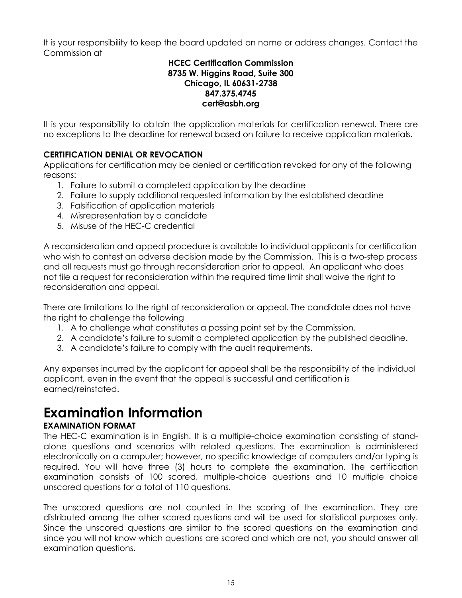It is your responsibility to keep the board updated on name or address changes. Contact the Commission at

#### HCEC Certification Commission 8735 W. Higgins Road, Suite 300 Chicago, IL 60631-2738 847.375.4745 cert@asbh.org

It is your responsibility to obtain the application materials for certification renewal. There are no exceptions to the deadline for renewal based on failure to receive application materials.

# CERTIFICATION DENIAL OR REVOCATION

Applications for certification may be denied or certification revoked for any of the following reasons:

- 1. Failure to submit a completed application by the deadline
- 2. Failure to supply additional requested information by the established deadline
- 3. Falsification of application materials
- 4. Misrepresentation by a candidate
- 5. Misuse of the HEC-C credential

A reconsideration and appeal procedure is available to individual applicants for certification who wish to contest an adverse decision made by the Commission. This is a two-step process and all requests must go through reconsideration prior to appeal. An applicant who does not file a request for reconsideration within the required time limit shall waive the right to reconsideration and appeal.

There are limitations to the right of reconsideration or appeal. The candidate does not have the right to challenge the following

- 1. A to challenge what constitutes a passing point set by the Commission.
- 2. A candidate's failure to submit a completed application by the published deadline.
- 3. A candidate's failure to comply with the audit requirements.

Any expenses incurred by the applicant for appeal shall be the responsibility of the individual applicant, even in the event that the appeal is successful and certification is earned/reinstated.

# Examination Information

# EXAMINATION FORMAT

The HEC-C examination is in English. It is a multiple-choice examination consisting of standalone questions and scenarios with related questions. The examination is administered electronically on a computer; however, no specific knowledge of computers and/or typing is required. You will have three (3) hours to complete the examination. The certification examination consists of 100 scored, multiple-choice questions and 10 multiple choice unscored questions for a total of 110 questions.

The unscored questions are not counted in the scoring of the examination. They are distributed among the other scored questions and will be used for statistical purposes only. Since the unscored questions are similar to the scored questions on the examination and since you will not know which questions are scored and which are not, you should answer all examination questions.